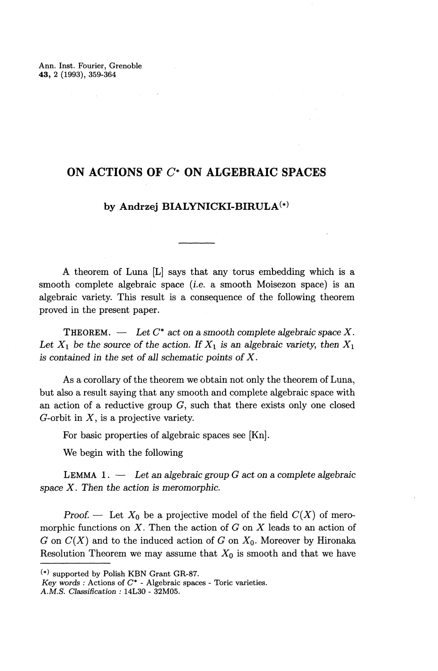Ann. Inst. Fourier, Grenoble **43,** 2 (1993), 359-364

# **ON ACTIONS OF C\* ON ALGEBRAIC SPACES**

# **by Andrzej BIALYNICKI-BIRULA^**

A theorem of Luna [L] says that any torus embedding which is a smooth complete algebraic space (i.e. a smooth Moisezon space) is an algebraic variety. This result is a consequence of the following theorem proved in the present paper.

THEOREM.  $\ \ - \ \$ Let  $C^*$  act on a smooth complete algebraic space X. Let  $X_1$  be the source of the action. If  $X_1$  is an algebraic variety, then  $X_1$ *is contained in the set of all schematic points of X.*

As a corollary of the theorem we obtain not only the theorem of Luna, but also a result saying that any smooth and complete algebraic space with an action of a reductive group  $G$ , such that there exists only one closed G-orbit in  $X$ , is a projective variety.

For basic properties of algebraic spaces see [Kn].

We begin with the following

LEMMA 1. — *Let an algebraic group G act on a complete algebraic space X. Then the action is meromorphic.*

*Proof.* — Let  $X_0$  be a projective model of the field  $C(X)$  of meromorphic functions on *X.* Then the action of *G* on *X* leads to an action of *G* on *C{X)* and to the induced action of *G* on *XQ.* Moreover by Hironaka Resolution Theorem we may assume that  $X_0$  is smooth and that we have

<sup>(\*)</sup> supported by Polish KBN Grant GR-87.

*Key words :* Actions of *C\* -* Algebraic spaces - Toric varieties.

*A.M.S. Classification :* 14L30 - 32M05.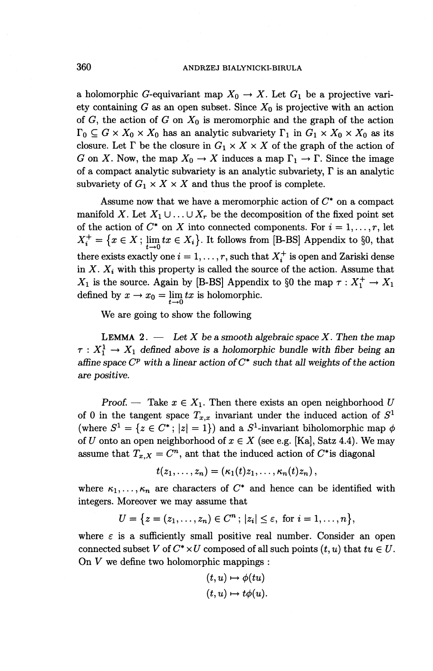### 360 ANDRZEJ BIALYNICKI-BIRULA

a holomorphic G-equivariant map  $X_0 \to X$ . Let  $G_1$  be a projective variety containing  $G$  as an open subset. Since  $X_0$  is projective with an action of  $G$ , the action of  $G$  on  $X_0$  is meromorphic and the graph of the action  $\Gamma_0 \subseteq G \times X_0 \times X_0$  has an analytic subvariety  $\Gamma_1$  in  $G_1 \times X_0 \times X_0$  as its closure. Let  $\Gamma$  be the closure in  $G_1 \times X \times X$  of the graph of the action of *G* on *X*. Now, the map  $X_0 \to X$  induces a map  $\Gamma_1 \to \Gamma$ . Since the image of a compact analytic subvariety is an analytic subvariety,  $\Gamma$  is an analytic subvariety of  $G_1 \times X \times X$  and thus the proof is complete.

Assume now that we have a meromorphic action of *C\** on a compact manifold X. Let  $X_1 \cup \ldots \cup X_r$  be the decomposition of the fixed point set of the action of  $C^*$  on  $X$  into connected components. For  $i = 1, \ldots, r$ , let  $X^+_i = \{x \in X; \lim_{i \to \infty} tx \in X_i\}.$  It follows from [B-BS] Appendix to §0, that there exists exactly one  $i = 1, \ldots, r$ , such that  $X^+_i$  is open and Zariski dense in  $X$ .  $X_i$  with this property is called the source of the action. Assume that  $X_1$  is the source. Again by [B-BS] Appendix to §0 the map  $\tau : X_1^+ \to X_1$ defined by  $x \to x_0 = \lim_{t \to 0} tx$  is holomorphic.

We are going to show the following

LEMMA 2. — *Let X be a smooth algebraic space X. Then the map*  $\tau: X_1^1 \to X_1$  defined above is a holomorphic bundle with fiber being an *affine space*  $C^p$  with a linear action of  $C^*$  such that all weights of the action *are positive.*

*Proof.* — Take  $x \in X_1$ . Then there exists an open neighborhood U *of* 0 in the tangent space  $T_{x,x}$  invariant under the induced action of  $S^1$ (where  $S^1 = \{z \in C^*; |z| = 1\}$ ) and a  $S^1$ -invariant biholomorphic map  $\phi$ of *U* onto an open neighborhood of  $x \in X$  (see e.g. [Ka], Satz 4.4). We may assume that  $T_{x,X} = C^n$ , ant that the induced action of  $C^*$  is diagonal

$$
t(z_1,\ldots,z_n)=(\kappa_1(t)z_1,\ldots,\kappa_n(t)z_n),
$$

where  $\kappa_1,\ldots,\kappa_n$  are characters of  $C^*$  and hence can be identified with integers. Moreover we may assume that

$$
U = \{ z = (z_1, \ldots, z_n) \in C^n ; \, |z_i| \le \varepsilon, \text{ for } i = 1, \ldots, n \},
$$

where  $\varepsilon$  is a sufficiently small positive real number. Consider an open connected subset *V* of  $C^* \times U$  composed of all such points  $(t, u)$  that  $tu \in U$ . On *V* we define two holomorphic mappings :

$$
(t, u) \mapsto \phi(tu)
$$

$$
(t, u) \mapsto t\phi(u).
$$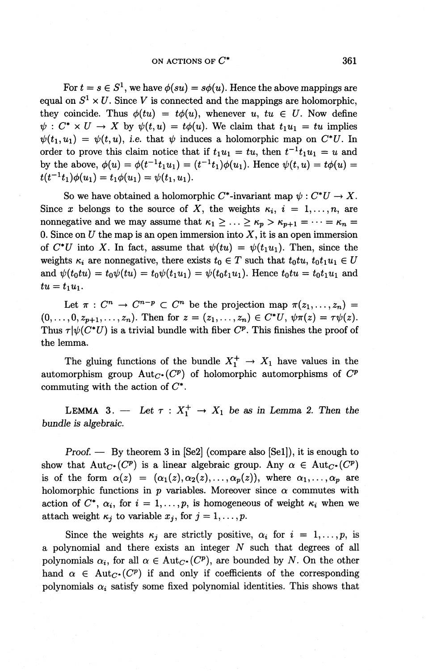### ON ACTIONS OF *C\** 361

For  $t = s \in S^1$ , we have  $\phi(su) = s\phi(u)$ . Hence the above mappings are equal on  $S^1 \times U$ . Since V is connected and the mappings are holomorphic, they coincide. Thus  $\phi(tu) = t\phi(u)$ , whenever  $u, tu \in U$ . Now define  $\psi : C^* \times U \to X$  by  $\psi(t,u) = t\phi(u)$ . We claim that  $t_1u_1 = tu$  implies  $\psi(t_1,u_1) = \psi(t,u)$ , i.e. that  $\psi$  induces a holomorphic map on  $C^*U$ . In order to prove this claim notice that if  $t_1u_1 = tu$ , then  $t^{-1}t_1u_1 = u$  and by the above,  $\phi(u) = \phi(t^{-1}t_1u_1) = (t^{-1}t_1)\phi(u_1)$ . Hence  $\psi(t,u) = t\phi(u) =$  $t(t^{-1}t_1)\phi(u_1) = t_1\phi(u_1) = \psi(t_1,u_1).$ 

So we have obtained a holomorphic C<sup>\*</sup>-invariant map  $\psi : C^*U \to X$ . Since x belongs to the source of X, the weights  $\kappa_i$ ,  $i = 1,...,n$ , are nonnegative and we may assume that  $\kappa_1 \geq \ldots \geq \kappa_p > \kappa_{p+1} = \cdots = \kappa_n =$ 0. Since on  $U$  the map is an open immersion into  $X$ , it is an open immersion of  $C^*U$  into X. In fact, assume that  $\psi(tu) = \psi(t_1u_1)$ . Then, since the weights  $\kappa_i$  are nonnegative, there exists  $t_0 \in T$  such that  $t_0 t u$ ,  $t_0 t_1 u_1 \in U$ and  $\psi(t_0 t u) = t_0 \psi(tu) = t_0 \psi(t_1 u_1) = \psi(t_0 t_1 u_1)$ . Hence  $t_0 t u = t_0 t_1 u_1$  and  $tu = t_1u_1.$ 

Let  $\pi : C^n \to C^{n-p} \subset C^n$  be the projection map  $\pi(z_1,\ldots,z_n) =$  $(0,\ldots, 0,z_{p+1},\ldots,z_n)$ . Then for  $z = (z_1,\ldots,z_n) \in C^*U$ ,  $\psi \pi(z) = \tau \psi(z)$ . Thus  $\tau|\psi(C^*U)$  is a trivial bundle with fiber  $C^p$ . This finishes the proof of the lemma.

The gluing functions of the bundle  $X^+_1 \rightarrow X_1$  have values in the automorphism group  $Aut_{C^*}(C^p)$  of holomorphic automorphisms of  $C^p$ commuting with the action of  $C^*$ .

LEMMA 3. — Let  $\tau : X_1^+ \to X_1$  be as in Lemma 2. Then the *bundle is algebraic.*

**Proof.** — By theorem 3 in  $\left[$ Se2 $\right]$  (compare also  $\left[$ Se1 $\right]$ ), it is enough to show that  $Aut_{C^*}(C^p)$  is a linear algebraic group. Any  $\alpha \in Aut_{C^*}(C^p)$ is of the form  $\alpha(z) = (\alpha_1(z),\alpha_2(z),\ldots,\alpha_p(z)),$  where  $\alpha_1,\ldots,\alpha_p$  are holomorphic functions in  $p$  variables. Moreover since  $\alpha$  commutes with action of  $C^*$ ,  $\alpha_i$ , for  $i = 1, \ldots, p$ , is homogeneous of weight  $\kappa_i$  when we attach weight  $\kappa_j$  to variable  $x_j$ , for  $j = 1, \ldots, p$ .

Since the weights  $\kappa_j$  are strictly positive,  $\alpha_i$  for  $i = 1, \ldots, p$ , is a polynomial and there exists an integer *N* such that degrees of all polynomials  $\alpha_i$ , for all  $\alpha \in Aut_{C^*}(C^p)$ , are bounded by *N*. On the other hand  $\alpha \in Aut_{C^*}(C^p)$  if and only if coefficients of the corresponding polynomials  $\alpha_i$  satisfy some fixed polynomial identities. This shows that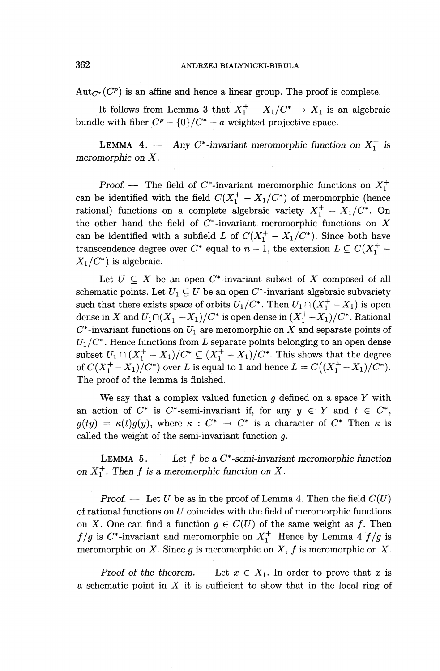$Aut_{C^*}(C^p)$  is an affine and hence a linear group. The proof is complete.

It follows from Lemma 3 that  $X_1^+ - X_1/C^* \rightarrow X_1$  is an algebraic bundle with fiber  $C^p - \{0\}/C^* - a$  weighted projective space.

**LEMMA 4.** — Any C\*-invariant meromorphic function on  $X^+_1$  is *meromorphic on X.*

*Proof.* — The field of  $C^*$ -invariant meromorphic functions on  $X^+_1$ can be identified with the field  $C(X^+_1 - X_1/C^*)$  of meromorphic (hence rational) functions on a complete algebraic variety  $X^+_1 - X_1/C^*$ . On the other hand the field of  $C^*$ -invariant meromorphic functions on  $X$ can be identified with a subfield *L* of  $C(X^+_1 - X_1/C^*)$ . Since both have transcendence degree over  $C^*$  equal to  $n-1$ , the extension  $L \subseteq C(X_1^+ X_1/C^*$  is algebraic.

Let  $U \subseteq X$  be an open  $C^*$ -invariant subset of X composed of all schematic points. Let  $U_1 \subseteq U$  be an open  $C^*$ -invariant algebraic subvariety such that there exists space of orbits  $U_1/C^*$ . Then  $U_1 \cap (X_1^+ - X_1)$  is open dense in X and  $U_1 \cap (X_1^+ - X_1)/C^*$  is open dense in  $(X_1^+ - X_1)/C^*$ . Rational  $C^*$ -invariant functions on  $U_1$  are meromorphic on X and separate points of  $U_1/C^*$ . Hence functions from L separate points belonging to an open dense subset  $U_1 \cap (X_1^+ - X_1)/C^* \subseteq (X_1^+ - X_1)/C^*$ . This shows that the degree of  $C(X_1^+ - X_1)/C^*$  over *L* is equal to 1 and hence  $L = C((X_1^+ - X_1)/C^*)$ . The proof of the lemma is finished.

We say that a complex valued function *g* defined on a space *Y* with an action of  $C^*$  is  $C^*$ -semi-invariant if, for any  $y \in Y$  and  $t \in C^*$ ,  $g(ty) = \kappa(t)g(y)$ , where  $\kappa : C^* \to C^*$  is a character of  $C^*$  Then  $\kappa$  is called the weight of the semi-invariant function *g.*

LEMMA 5. — *Let f be a* C\* *-semi-invariant meromorphic function on*  $X^+_1$ *. Then f is a meromorphic function on X.* 

*Proof. —* Let *U* be as in the proof of Lemma 4. Then the field *C(U)* of rational functions on *U* coincides with the field of meromorphic functions on X. One can find a function  $g \in C(U)$  of the same weight as f. Then *f/g* is  $C^*$ -invariant and meromorphic on  $X_1^+$ . Hence by Lemma 4 *f/g* is meromorphic on *X*. Since *g* is meromorphic on *X*, *f* is meromorphic on *X*.

*Proof of the theorem.* — Let  $x \in X_1$ . In order to prove that x is a schematic point in *X* it is sufficient to show that in the local ring of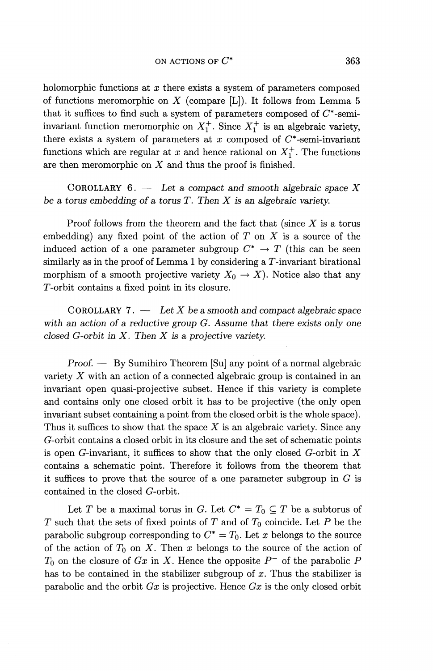holomorphic functions at *x* there exists a system of parameters composed of functions meromorphic on *X* (compare [L]). It follows from Lemma 5 that it suffices to find such a system of parameters composed of  $C^*$ -semiinvariant function meromorphic on  $X^+_1$ . Since  $X^+_1$  is an algebraic variety, there exists a system of parameters at  $x$  composed of  $C^*$ -semi-invariant functions which are regular at x and hence rational on  $X^+_1$ . The functions are then meromorphic on *X* and thus the proof is finished.

COROLLARY 6. — *Let a compact and smooth algebraic space X be a torus embedding of a torus T. Then X is an algebraic variety.*

Proof follows from the theorem and the fact that (since  $X$  is a torus embedding) any fixed point of the action of *T* on *X* is a source of the induced action of a one parameter subgroup  $C^* \to T$  (this can be seen similarly as in the proof of Lemma 1 by considering a  $T$ -invariant birational morphism of a smooth projective variety  $X_0 \to X$ ). Notice also that any r-orbit contains a fixed point in its closure.

COROLLARY 7. — Let *X be a smooth and compact algebraic space with an action of a reductive group G. Assume that there exists only one closed G-orbit in X. Then X is a projective variety.*

*Proof. —* By Sumihiro Theorem [Su] any point of a normal algebraic variety *X* with an action of a connected algebraic group is contained in an invariant open quasi-projective subset. Hence if this variety is complete and contains only one closed orbit it has to be projective (the only open invariant subset containing a point from the closed orbit is the whole space). Thus it suffices to show that the space *X* is an algebraic variety. Since any G-orbit contains a closed orbit in its closure and the set of schematic points is open G-invariant, it suffices to show that the only closed G-orbit in *X* contains a schematic point. Therefore it follows from the theorem that it suffices to prove that the source of a one parameter subgroup in  $G$  is contained in the closed G-orbit.

Let T be a maximal torus in G. Let  $C^* = T_0 \subseteq T$  be a subtorus of *T* such that the sets of fixed points of *T* and of  $T_0$  coincide. Let *P* be the parabolic subgroup corresponding to  $C^* = T_0$ . Let x belongs to the source of the action of *To* on *X.* Then *x* belongs to the source of the action of  $T_0$  on the closure of *Gx* in *X*. Hence the opposite  $P^-$  of the parabolic P has to be contained in the stabilizer subgroup of *x.* Thus the stabilizer is parabolic and the orbit *Gx* is projective. Hence *Gx* is the only closed orbit